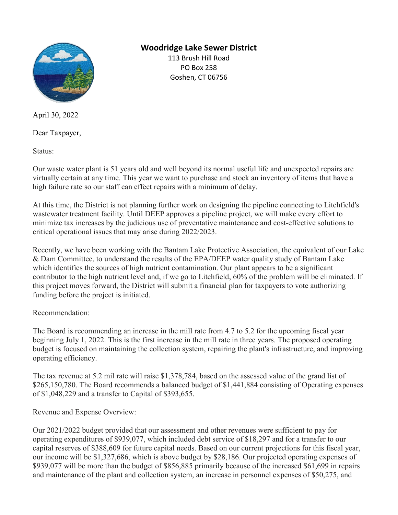

## Woodridge Lake Sewer District

113 Brush Hill Road PO Box 258 Goshen, CT 06756

April 30, 2022

Dear Taxpayer,

Status:

Our waste water plant is 51 years old and well beyond its normal useful life and unexpected repairs are virtually certain at any time. This year we want to purchase and stock an inventory of items that have a high failure rate so our staff can effect repairs with a minimum of delay.

At this time, the District is not planning further work on designing the pipeline connecting to Litchfield's wastewater treatment facility. Until DEEP approves a pipeline project, we will make every effort to minimize tax increases by the judicious use of preventative maintenance and cost-effective solutions to critical operational issues that may arise during 2022/2023.

Recently, we have been working with the Bantam Lake Protective Association, the equivalent of our Lake & Dam Committee, to understand the results of the EPA/DEEP water quality study of Bantam Lake which identifies the sources of high nutrient contamination. Our plant appears to be a significant contributor to the high nutrient level and, if we go to Litchfield, 60% of the problem will be eliminated. If this project moves forward, the District will submit a financial plan for taxpayers to vote authorizing funding before the project is initiated.

## Recommendation:

The Board is recommending an increase in the mill rate from 4.7 to 5.2 for the upcoming fiscal year beginning July 1, 2022. This is the first increase in the mill rate in three years. The proposed operating budget is focused on maintaining the collection system, repairing the plant's infrastructure, and improving operating efficiency.

The tax revenue at 5.2 mil rate will raise \$1,378,784, based on the assessed value of the grand list of \$265,150,780. The Board recommends a balanced budget of \$1,441,884 consisting of Operating expenses of \$1,048,229 and a transfer to Capital of \$393,655.

Revenue and Expense Overview:

Our 2021/2022 budget provided that our assessment and other revenues were sufficient to pay for operating expenditures of \$939,077, which included debt service of \$18,297 and for a transfer to our capital reserves of \$388,609 for future capital needs. Based on our current projections for this fiscal year, our income will be \$1,327,686, which is above budget by \$28,186. Our projected operating expenses of \$939,077 will be more than the budget of \$856,885 primarily because of the increased \$61,699 in repairs and maintenance of the plant and collection system, an increase in personnel expenses of \$50,275, and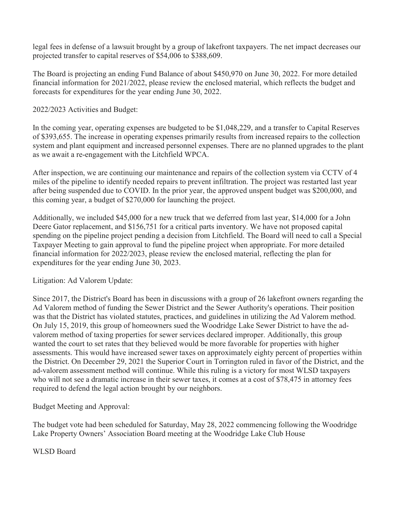legal fees in defense of a lawsuit brought by a group of lakefront taxpayers. The net impact decreases our projected transfer to capital reserves of \$54,006 to \$388,609.

The Board is projecting an ending Fund Balance of about \$450,970 on June 30, 2022. For more detailed financial information for 2021/2022, please review the enclosed material, which reflects the budget and forecasts for expenditures for the year ending June 30, 2022.

2022/2023 Activities and Budget:

In the coming year, operating expenses are budgeted to be \$1,048,229, and a transfer to Capital Reserves of \$393,655. The increase in operating expenses primarily results from increased repairs to the collection system and plant equipment and increased personnel expenses. There are no planned upgrades to the plant as we await a re-engagement with the Litchfield WPCA.

After inspection, we are continuing our maintenance and repairs of the collection system via CCTV of 4 miles of the pipeline to identify needed repairs to prevent infiltration. The project was restarted last year after being suspended due to COVID. In the prior year, the approved unspent budget was \$200,000, and this coming year, a budget of \$270,000 for launching the project.

Additionally, we included \$45,000 for a new truck that we deferred from last year, \$14,000 for a John Deere Gator replacement, and \$156,751 for a critical parts inventory. We have not proposed capital spending on the pipeline project pending a decision from Litchfield. The Board will need to call a Special Taxpayer Meeting to gain approval to fund the pipeline project when appropriate. For more detailed financial information for 2022/2023, please review the enclosed material, reflecting the plan for expenditures for the year ending June 30, 2023.

Litigation: Ad Valorem Update:

Since 2017, the District's Board has been in discussions with a group of 26 lakefront owners regarding the Ad Valorem method of funding the Sewer District and the Sewer Authority's operations. Their position was that the District has violated statutes, practices, and guidelines in utilizing the Ad Valorem method. On July 15, 2019, this group of homeowners sued the Woodridge Lake Sewer District to have the advalorem method of taxing properties for sewer services declared improper. Additionally, this group wanted the court to set rates that they believed would be more favorable for properties with higher assessments. This would have increased sewer taxes on approximately eighty percent of properties within the District. On December 29, 2021 the Superior Court in Torrington ruled in favor of the District, and the ad-valorem assessment method will continue. While this ruling is a victory for most WLSD taxpayers who will not see a dramatic increase in their sewer taxes, it comes at a cost of \$78,475 in attorney fees required to defend the legal action brought by our neighbors.

Budget Meeting and Approval:

The budget vote had been scheduled for Saturday, May 28, 2022 commencing following the Woodridge Lake Property Owners' Association Board meeting at the Woodridge Lake Club House

WLSD Board